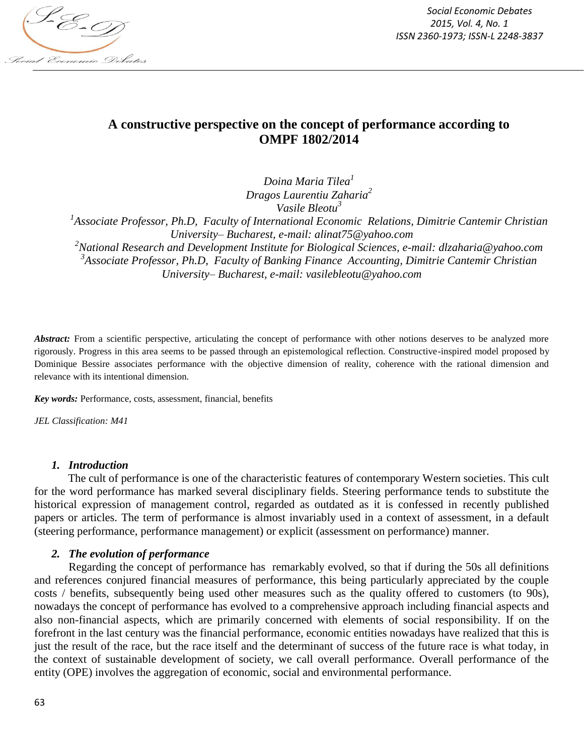

*Social Economic Debates 2015, Vol. 4, No. 1 ISSN 2360-1973; ISSN-L 2248-3837*

# **A constructive perspective on the concept of performance according to OMPF 1802/2014**

*Doina Maria Tilea<sup>1</sup> Dragos Laurentiu Zaharia<sup>2</sup> Vasile Bleotu<sup>3</sup>*

*1 Associate Professor, Ph.D, Faculty of International Economic Relations, Dimitrie Cantemir Christian University– Bucharest, e-mail: alinat75@yahoo.com*

*<sup>2</sup>National Research and Development Institute for Biological Sciences, e-mail: dlzaharia@yahoo.com 3 Associate Professor, Ph.D, Faculty of Banking Finance Accounting, Dimitrie Cantemir Christian University– Bucharest, e-mail: vasilebleotu@yahoo.com*

Abstract: From a scientific perspective, articulating the concept of performance with other notions deserves to be analyzed more rigorously. Progress in this area seems to be passed through an epistemological reflection. Constructive-inspired model proposed by Dominique Bessire associates performance with the objective dimension of reality, coherence with the rational dimension and relevance with its intentional dimension.

*Key words:* Performance, costs, assessment, financial, benefits

*JEL Classification: M41*

#### *1. Introduction*

The cult of performance is one of the characteristic features of contemporary Western societies. This cult for the word performance has marked several disciplinary fields. Steering performance tends to substitute the historical expression of management control, regarded as outdated as it is confessed in recently published papers or articles. The term of performance is almost invariably used in a context of assessment, in a default (steering performance, performance management) or explicit (assessment on performance) manner.

#### *2. The evolution of performance*

Regarding the concept of performance has remarkably evolved, so that if during the 50s all definitions and references conjured financial measures of performance, this being particularly appreciated by the couple costs / benefits, subsequently being used other measures such as the quality offered to customers (to 90s), nowadays the concept of performance has evolved to a comprehensive approach including financial aspects and also non-financial aspects, which are primarily concerned with elements of social responsibility. If on the forefront in the last century was the financial performance, economic entities nowadays have realized that this is just the result of the race, but the race itself and the determinant of success of the future race is what today, in the context of sustainable development of society, we call overall performance. Overall performance of the entity (OPE) involves the aggregation of economic, social and environmental performance.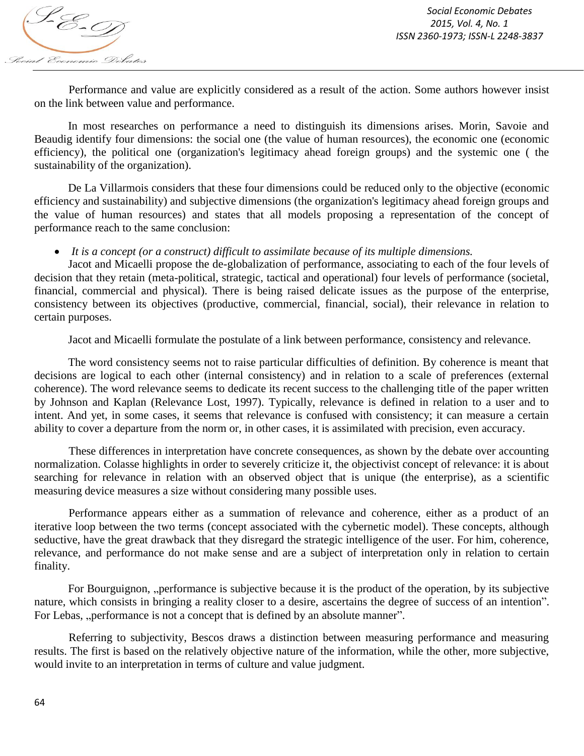

Performance and value are explicitly considered as a result of the action. Some authors however insist on the link between value and performance.

In most researches on performance a need to distinguish its dimensions arises. Morin, Savoie and Beaudig identify four dimensions: the social one (the value of human resources), the economic one (economic efficiency), the political one (organization's legitimacy ahead foreign groups) and the systemic one ( the sustainability of the organization).

De La Villarmois considers that these four dimensions could be reduced only to the objective (economic efficiency and sustainability) and subjective dimensions (the organization's legitimacy ahead foreign groups and the value of human resources) and states that all models proposing a representation of the concept of performance reach to the same conclusion:

*It is a concept (or a construct) difficult to assimilate because of its multiple dimensions.*

Jacot and Micaelli propose the de-globalization of performance, associating to each of the four levels of decision that they retain (meta-political, strategic, tactical and operational) four levels of performance (societal, financial, commercial and physical). There is being raised delicate issues as the purpose of the enterprise, consistency between its objectives (productive, commercial, financial, social), their relevance in relation to certain purposes.

Jacot and Micaelli formulate the postulate of a link between performance, consistency and relevance.

The word consistency seems not to raise particular difficulties of definition. By coherence is meant that decisions are logical to each other (internal consistency) and in relation to a scale of preferences (external coherence). The word relevance seems to dedicate its recent success to the challenging title of the paper written by Johnson and Kaplan (Relevance Lost, 1997). Typically, relevance is defined in relation to a user and to intent. And yet, in some cases, it seems that relevance is confused with consistency; it can measure a certain ability to cover a departure from the norm or, in other cases, it is assimilated with precision, even accuracy.

These differences in interpretation have concrete consequences, as shown by the debate over accounting normalization. Colasse highlights in order to severely criticize it, the objectivist concept of relevance: it is about searching for relevance in relation with an observed object that is unique (the enterprise), as a scientific measuring device measures a size without considering many possible uses.

Performance appears either as a summation of relevance and coherence, either as a product of an iterative loop between the two terms (concept associated with the cybernetic model). These concepts, although seductive, have the great drawback that they disregard the strategic intelligence of the user. For him, coherence, relevance, and performance do not make sense and are a subject of interpretation only in relation to certain finality.

For Bourguignon, "performance is subjective because it is the product of the operation, by its subjective nature, which consists in bringing a reality closer to a desire, ascertains the degree of success of an intention". For Lebas, "performance is not a concept that is defined by an absolute manner".

Referring to subjectivity, Bescos draws a distinction between measuring performance and measuring results. The first is based on the relatively objective nature of the information, while the other, more subjective, would invite to an interpretation in terms of culture and value judgment.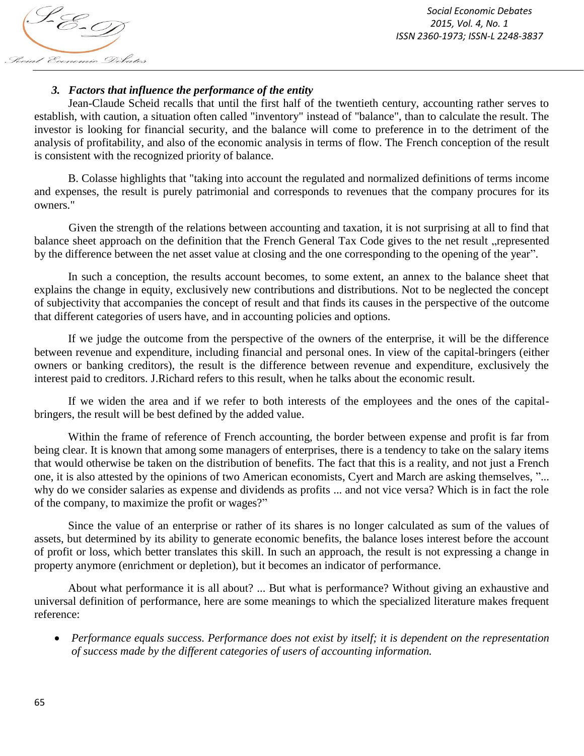S-E-T Social Economic Debates

*Social Economic Debates 2015, Vol. 4, No. 1 ISSN 2360-1973; ISSN-L 2248-3837*

#### *3. Factors that influence the performance of the entity*

Jean-Claude Scheid recalls that until the first half of the twentieth century, accounting rather serves to establish, with caution, a situation often called "inventory" instead of "balance", than to calculate the result. The investor is looking for financial security, and the balance will come to preference in to the detriment of the analysis of profitability, and also of the economic analysis in terms of flow. The French conception of the result is consistent with the recognized priority of balance.

B. Colasse highlights that "taking into account the regulated and normalized definitions of terms income and expenses, the result is purely patrimonial and corresponds to revenues that the company procures for its owners."

Given the strength of the relations between accounting and taxation, it is not surprising at all to find that balance sheet approach on the definition that the French General Tax Code gives to the net result "represented by the difference between the net asset value at closing and the one corresponding to the opening of the year".

In such a conception, the results account becomes, to some extent, an annex to the balance sheet that explains the change in equity, exclusively new contributions and distributions. Not to be neglected the concept of subjectivity that accompanies the concept of result and that finds its causes in the perspective of the outcome that different categories of users have, and in accounting policies and options.

If we judge the outcome from the perspective of the owners of the enterprise, it will be the difference between revenue and expenditure, including financial and personal ones. In view of the capital-bringers (either owners or banking creditors), the result is the difference between revenue and expenditure, exclusively the interest paid to creditors. J.Richard refers to this result, when he talks about the economic result.

If we widen the area and if we refer to both interests of the employees and the ones of the capitalbringers, the result will be best defined by the added value.

Within the frame of reference of French accounting, the border between expense and profit is far from being clear. It is known that among some managers of enterprises, there is a tendency to take on the salary items that would otherwise be taken on the distribution of benefits. The fact that this is a reality, and not just a French one, it is also attested by the opinions of two American economists, Cyert and March are asking themselves, "... why do we consider salaries as expense and dividends as profits ... and not vice versa? Which is in fact the role of the company, to maximize the profit or wages?"

Since the value of an enterprise or rather of its shares is no longer calculated as sum of the values of assets, but determined by its ability to generate economic benefits, the balance loses interest before the account of profit or loss, which better translates this skill. In such an approach, the result is not expressing a change in property anymore (enrichment or depletion), but it becomes an indicator of performance.

About what performance it is all about? ... But what is performance? Without giving an exhaustive and universal definition of performance, here are some meanings to which the specialized literature makes frequent reference:

 *Performance equals success. Performance does not exist by itself; it is dependent on the representation of success made by the different categories of users of accounting information.*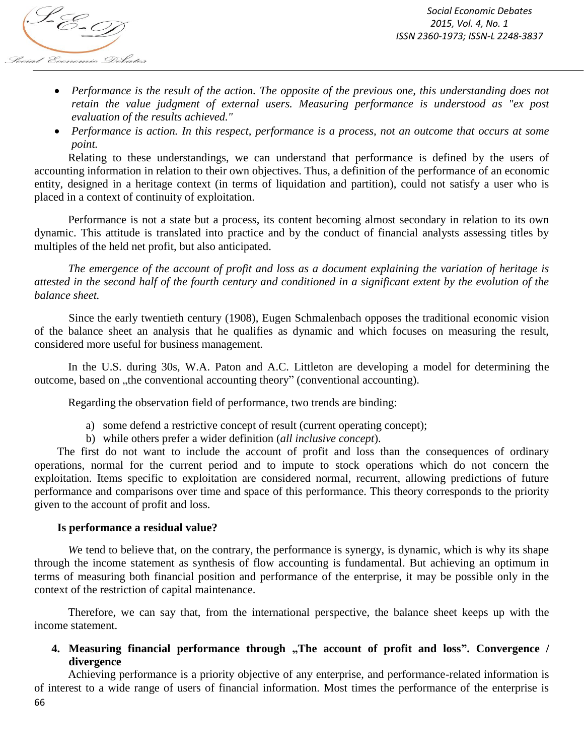

- Performance is the result of the action. The opposite of the previous one, this understanding does not *retain the value judgment of external users. Measuring performance is understood as "ex post evaluation of the results achieved."*
- *Performance is action. In this respect, performance is a process, not an outcome that occurs at some point.*

Relating to these understandings, we can understand that performance is defined by the users of accounting information in relation to their own objectives. Thus, a definition of the performance of an economic entity, designed in a heritage context (in terms of liquidation and partition), could not satisfy a user who is placed in a context of continuity of exploitation.

Performance is not a state but a process, its content becoming almost secondary in relation to its own dynamic. This attitude is translated into practice and by the conduct of financial analysts assessing titles by multiples of the held net profit, but also anticipated.

*The emergence of the account of profit and loss as a document explaining the variation of heritage is attested in the second half of the fourth century and conditioned in a significant extent by the evolution of the balance sheet.*

Since the early twentieth century (1908), Eugen Schmalenbach opposes the traditional economic vision of the balance sheet an analysis that he qualifies as dynamic and which focuses on measuring the result, considered more useful for business management.

In the U.S. during 30s, W.A. Paton and A.C. Littleton are developing a model for determining the outcome, based on , the conventional accounting theory" (conventional accounting).

Regarding the observation field of performance, two trends are binding:

- a) some defend a restrictive concept of result (current operating concept);
- b) while others prefer a wider definition (*all inclusive concept*).

The first do not want to include the account of profit and loss than the consequences of ordinary operations, normal for the current period and to impute to stock operations which do not concern the exploitation. Items specific to exploitation are considered normal, recurrent, allowing predictions of future performance and comparisons over time and space of this performance. This theory corresponds to the priority given to the account of profit and loss.

## **Is performance a residual value?**

We tend to believe that, on the contrary, the performance is synergy, is dynamic, which is why its shape through the income statement as synthesis of flow accounting is fundamental. But achieving an optimum in terms of measuring both financial position and performance of the enterprise, it may be possible only in the context of the restriction of capital maintenance.

Therefore, we can say that, from the international perspective, the balance sheet keeps up with the income statement.

# **4. Measuring financial performance through "The account of profit and loss". Convergence / divergence**

66 Achieving performance is a priority objective of any enterprise, and performance-related information is of interest to a wide range of users of financial information. Most times the performance of the enterprise is